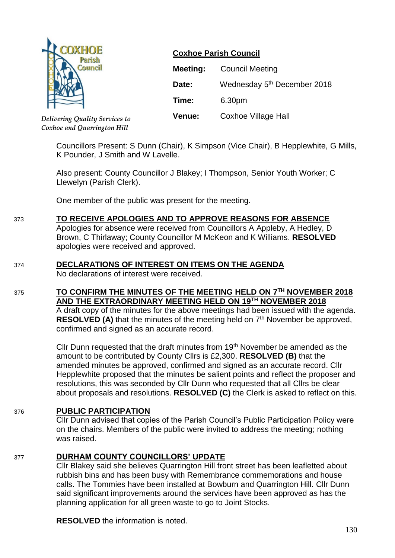

**Coxhoe Parish Council**

| Meeting:      | <b>Council Meeting</b>                  |  |
|---------------|-----------------------------------------|--|
| Date:         | Wednesday 5 <sup>th</sup> December 2018 |  |
| Time:         | 6.30pm                                  |  |
| <b>Venue:</b> | <b>Coxhoe Village Hall</b>              |  |

*Delivering Quality Services to Coxhoe and Quarrington Hill*

> Councillors Present: S Dunn (Chair), K Simpson (Vice Chair), B Hepplewhite, G Mills, K Pounder, J Smith and W Lavelle.

Also present: County Councillor J Blakey; I Thompson, Senior Youth Worker; C Llewelyn (Parish Clerk).

One member of the public was present for the meeting.

# 373 **TO RECEIVE APOLOGIES AND TO APPROVE REASONS FOR ABSENCE**

Apologies for absence were received from Councillors A Appleby, A Hedley, D Brown, C Thirlaway; County Councillor M McKeon and K Williams. **RESOLVED**  apologies were received and approved.

## 374 **DECLARATIONS OF INTEREST ON ITEMS ON THE AGENDA**

No declarations of interest were received.

## 375 **TO CONFIRM THE MINUTES OF THE MEETING HELD ON 7 TH NOVEMBER 2018 AND THE EXTRAORDINARY MEETING HELD ON 19TH NOVEMBER 2018**

A draft copy of the minutes for the above meetings had been issued with the agenda. **RESOLVED (A)** that the minutes of the meeting held on 7<sup>th</sup> November be approved, confirmed and signed as an accurate record.

Cllr Dunn requested that the draft minutes from 19<sup>th</sup> November be amended as the amount to be contributed by County Cllrs is £2,300. **RESOLVED (B)** that the amended minutes be approved, confirmed and signed as an accurate record. Cllr Hepplewhite proposed that the minutes be salient points and reflect the proposer and resolutions, this was seconded by Cllr Dunn who requested that all Cllrs be clear about proposals and resolutions. **RESOLVED (C)** the Clerk is asked to reflect on this.

## 376 **PUBLIC PARTICIPATION**

Cllr Dunn advised that copies of the Parish Council's Public Participation Policy were on the chairs. Members of the public were invited to address the meeting; nothing was raised.

## 377 **DURHAM COUNTY COUNCILLORS' UPDATE**

Cllr Blakey said she believes Quarrington Hill front street has been leafletted about rubbish bins and has been busy with Remembrance commemorations and house calls. The Tommies have been installed at Bowburn and Quarrington Hill. Cllr Dunn said significant improvements around the services have been approved as has the planning application for all green waste to go to Joint Stocks.

**RESOLVED** the information is noted.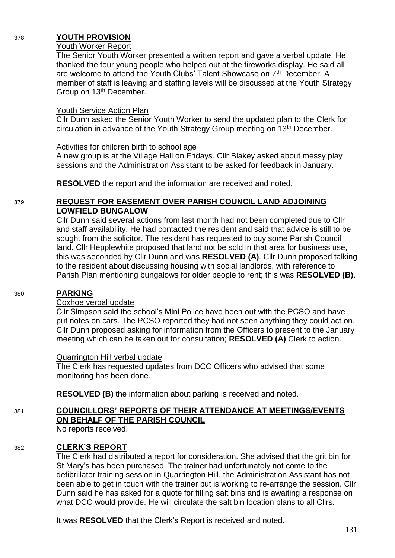### 378 **YOUTH PROVISION**

#### Youth Worker Report

The Senior Youth Worker presented a written report and gave a verbal update. He thanked the four young people who helped out at the fireworks display. He said all are welcome to attend the Youth Clubs' Talent Showcase on 7<sup>th</sup> December. A member of staff is leaving and staffing levels will be discussed at the Youth Strategy Group on 13<sup>th</sup> December.

#### Youth Service Action Plan

Cllr Dunn asked the Senior Youth Worker to send the updated plan to the Clerk for circulation in advance of the Youth Strategy Group meeting on 13<sup>th</sup> December.

#### Activities for children birth to school age

A new group is at the Village Hall on Fridays. Cllr Blakey asked about messy play sessions and the Administration Assistant to be asked for feedback in January.

**RESOLVED** the report and the information are received and noted.

#### 379 **REQUEST FOR EASEMENT OVER PARISH COUNCIL LAND ADJOINING LOWFIELD BUNGALOW**

Cllr Dunn said several actions from last month had not been completed due to Cllr and staff availability. He had contacted the resident and said that advice is still to be sought from the solicitor. The resident has requested to buy some Parish Council land. Cllr Hepplewhite proposed that land not be sold in that area for business use, this was seconded by Cllr Dunn and was **RESOLVED (A)**. Cllr Dunn proposed talking to the resident about discussing housing with social landlords, with reference to Parish Plan mentioning bungalows for older people to rent; this was **RESOLVED (B)**.

#### 380 **PARKING**

## Coxhoe verbal update

Cllr Simpson said the school's Mini Police have been out with the PCSO and have put notes on cars. The PCSO reported they had not seen anything they could act on. Cllr Dunn proposed asking for information from the Officers to present to the January meeting which can be taken out for consultation; **RESOLVED (A)** Clerk to action.

#### Quarrington Hill verbal update

The Clerk has requested updates from DCC Officers who advised that some monitoring has been done.

**RESOLVED (B)** the information about parking is received and noted.

## 381 **COUNCILLORS' REPORTS OF THEIR ATTENDANCE AT MEETINGS/EVENTS ON BEHALF OF THE PARISH COUNCIL**

No reports received.

## 382 **CLERK'S REPORT**

The Clerk had distributed a report for consideration. She advised that the grit bin for St Mary's has been purchased. The trainer had unfortunately not come to the defibrillator training session in Quarrington Hill, the Administration Assistant has not been able to get in touch with the trainer but is working to re-arrange the session. Cllr Dunn said he has asked for a quote for filling salt bins and is awaiting a response on what DCC would provide. He will circulate the salt bin location plans to all Cllrs.

It was **RESOLVED** that the Clerk's Report is received and noted.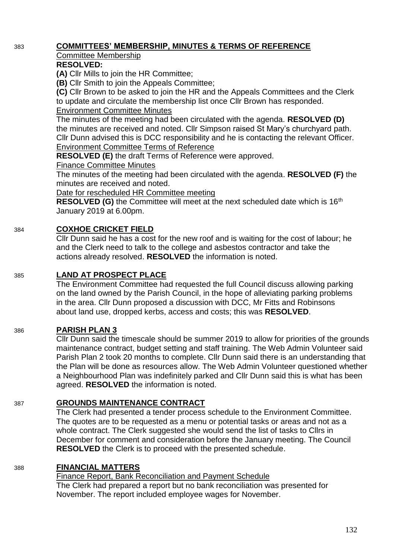# 383 **COMMITTEES' MEMBERSHIP, MINUTES & TERMS OF REFERENCE**

# Committee Membership

### **RESOLVED:**

**(A)** Cllr Mills to join the HR Committee;

**(B)** Cllr Smith to join the Appeals Committee;

**(C)** Cllr Brown to be asked to join the HR and the Appeals Committees and the Clerk to update and circulate the membership list once Cllr Brown has responded.

#### Environment Committee Minutes

The minutes of the meeting had been circulated with the agenda. **RESOLVED (D)** the minutes are received and noted. Cllr Simpson raised St Mary's churchyard path. Cllr Dunn advised this is DCC responsibility and he is contacting the relevant Officer. Environment Committee Terms of Reference

**RESOLVED (E)** the draft Terms of Reference were approved.

Finance Committee Minutes

The minutes of the meeting had been circulated with the agenda. **RESOLVED (F)** the minutes are received and noted.

Date for rescheduled HR Committee meeting

**RESOLVED (G)** the Committee will meet at the next scheduled date which is 16<sup>th</sup> January 2019 at 6.00pm.

# 384 **COXHOE CRICKET FIELD**

Cllr Dunn said he has a cost for the new roof and is waiting for the cost of labour; he and the Clerk need to talk to the college and asbestos contractor and take the actions already resolved. **RESOLVED** the information is noted.

## 385 **LAND AT PROSPECT PLACE**

The Environment Committee had requested the full Council discuss allowing parking on the land owned by the Parish Council, in the hope of alleviating parking problems in the area. Cllr Dunn proposed a discussion with DCC, Mr Fitts and Robinsons about land use, dropped kerbs, access and costs; this was **RESOLVED**.

## 386 **PARISH PLAN 3**

Cllr Dunn said the timescale should be summer 2019 to allow for priorities of the grounds maintenance contract, budget setting and staff training. The Web Admin Volunteer said Parish Plan 2 took 20 months to complete. Cllr Dunn said there is an understanding that the Plan will be done as resources allow. The Web Admin Volunteer questioned whether a Neighbourhood Plan was indefinitely parked and Cllr Dunn said this is what has been agreed. **RESOLVED** the information is noted.

## 387 **GROUNDS MAINTENANCE CONTRACT**

The Clerk had presented a tender process schedule to the Environment Committee. The quotes are to be requested as a menu or potential tasks or areas and not as a whole contract. The Clerk suggested she would send the list of tasks to Cllrs in December for comment and consideration before the January meeting. The Council **RESOLVED** the Clerk is to proceed with the presented schedule.

## 388 **FINANCIAL MATTERS**

Finance Report, Bank Reconciliation and Payment Schedule The Clerk had prepared a report but no bank reconciliation was presented for November. The report included employee wages for November.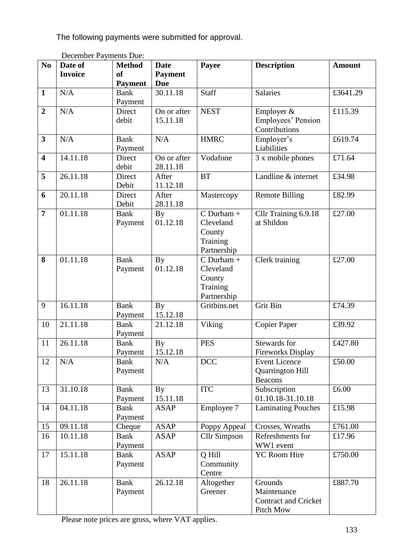The following payments were submitted for approval.

| N <sub>0</sub>          | DUCTING I ayinches Duc.<br>Date of | <b>Method</b>          | <b>Date</b>           | Payee                                                          | <b>Description</b>                                                 | <b>Amount</b> |
|-------------------------|------------------------------------|------------------------|-----------------------|----------------------------------------------------------------|--------------------------------------------------------------------|---------------|
|                         | <b>Invoice</b>                     | of                     | <b>Payment</b>        |                                                                |                                                                    |               |
|                         |                                    | <b>Payment</b>         | <b>Due</b>            |                                                                |                                                                    |               |
| $\mathbf{1}$            | N/A                                | <b>Bank</b>            | 30.11.18              | <b>Staff</b>                                                   | Salaries                                                           | £3641.29      |
|                         |                                    | Payment                |                       |                                                                |                                                                    |               |
| $\overline{2}$          | N/A                                | Direct                 | On or after           | <b>NEST</b>                                                    | Employer &                                                         | £115.39       |
|                         |                                    | debit                  | 15.11.18              |                                                                | Employees' Pension<br>Contributions                                |               |
| $\overline{\mathbf{3}}$ | N/A                                | <b>Bank</b>            | N/A                   | <b>HMRC</b>                                                    | Employer's                                                         | £619.74       |
|                         |                                    | Payment                |                       |                                                                | Liabilities                                                        |               |
| $\overline{\mathbf{4}}$ | 14.11.18                           | Direct                 | On or after           | Vodafone                                                       | 3 x mobile phones                                                  | £71.64        |
|                         |                                    | debit                  | 28.11.18              |                                                                |                                                                    |               |
| $\overline{\mathbf{5}}$ | 26.11.18                           | Direct<br>Debit        | After<br>11.12.18     | <b>BT</b>                                                      | Landline & internet                                                | £34.98        |
| 6                       | 20.11.18                           | Direct<br>Debit        | After<br>28.11.18     | Mastercopy                                                     | <b>Remote Billing</b>                                              | £82.99        |
| $\overline{7}$          | 01.11.18                           | <b>Bank</b><br>Payment | By<br>01.12.18        | $C$ Durham +<br>Cleveland<br>County<br>Training<br>Partnership | Cllr Training 6.9.18<br>at Shildon                                 | £27.00        |
| 8                       | 01.11.18                           | <b>Bank</b><br>Payment | <b>By</b><br>01.12.18 | $C$ Durham +<br>Cleveland<br>County<br>Training<br>Partnership | Clerk training                                                     | £27.00        |
| 9                       | 16.11.18                           | <b>Bank</b><br>Payment | <b>By</b><br>15.12.18 | Gritbins.net                                                   | Grit Bin                                                           | £74.39        |
| 10                      | 21.11.18                           | <b>Bank</b><br>Payment | 21.12.18              | Viking                                                         | <b>Copier Paper</b>                                                | £39.92        |
| 11                      | 26.11.18                           | <b>Bank</b><br>Payment | <b>By</b><br>15.12.18 | <b>PES</b>                                                     | Stewards for<br>Fireworks Display                                  | £427.80       |
| 12                      | $\rm N/A$                          | <b>Bank</b><br>Payment | N/A                   | <b>DCC</b>                                                     | <b>Event Licence</b><br>Quarrington Hill<br><b>Beacons</b>         | £50.00        |
| 13                      | 31.10.18                           | <b>Bank</b><br>Payment | By<br>15.11.18        | <b>ITC</b>                                                     | Subscription<br>01.10.18-31.10.18                                  | £6.00         |
| 14                      | 04.11.18                           | <b>Bank</b><br>Payment | <b>ASAP</b>           | Employee 7                                                     | <b>Laminating Pouches</b>                                          | £15.98        |
| 15                      | 09.11.18                           | Cheque                 | <b>ASAP</b>           | Poppy Appeal                                                   | Crosses, Wreaths                                                   | £761.00       |
| 16                      | 10.11.18                           | <b>Bank</b><br>Payment | <b>ASAP</b>           | <b>Cllr Simpson</b>                                            | Refreshments for<br>WW1 event                                      | £17.96        |
| 17                      | 15.11.18                           | <b>Bank</b><br>Payment | <b>ASAP</b>           | Q Hill<br>Community<br>Centre                                  | YC Room Hire                                                       | £750.00       |
| 18                      | 26.11.18                           | <b>Bank</b><br>Payment | 26.12.18              | Altogether<br>Greener                                          | Grounds<br>Maintenance<br><b>Contract and Cricket</b><br>Pitch Mow | £887.70       |

December Payments Due:

Please note prices are gross, where VAT applies.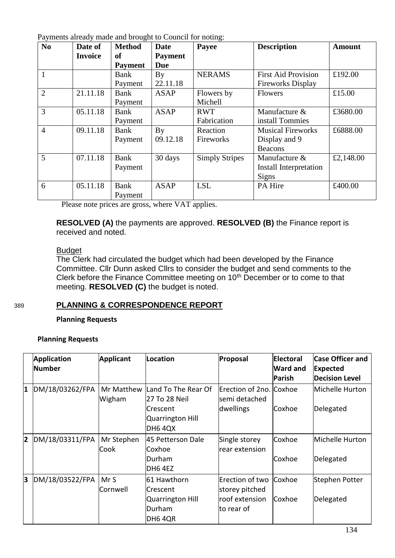|  | Payments already made and brought to Council for noting: |  |
|--|----------------------------------------------------------|--|
|  |                                                          |  |

| N <sub>o</sub> | Date of        | <b>Method</b>  | <b>Date</b>    | Payee                 | <b>Description</b>                    | <b>Amount</b> |
|----------------|----------------|----------------|----------------|-----------------------|---------------------------------------|---------------|
|                | <b>Invoice</b> | of             | <b>Payment</b> |                       |                                       |               |
|                |                | <b>Payment</b> | Due            |                       |                                       |               |
| 1              |                | Bank           | By             | <b>NERAMS</b>         | <b>First Aid Provision</b><br>£192.00 |               |
|                |                | Payment        | 22.11.18       |                       | <b>Fireworks Display</b>              |               |
| $\overline{2}$ | 21.11.18       | Bank           | ASAP           | Flowers by            | <b>Flowers</b>                        | £15.00        |
|                |                | Payment        |                | Michell               |                                       |               |
| 3              | 05.11.18       | Bank           | <b>ASAP</b>    | <b>RWT</b>            | Manufacture &                         | £3680.00      |
|                |                | Payment        |                | Fabrication           | install Tommies                       |               |
| $\overline{4}$ | 09.11.18       | Bank           | By             | Reaction              | <b>Musical Fireworks</b>              | £6888.00      |
|                |                | Payment        | 09.12.18       | Fireworks             | Display and 9                         |               |
|                |                |                |                |                       | <b>Beacons</b>                        |               |
| 5              | 07.11.18       | Bank           | 30 days        | <b>Simply Stripes</b> | Manufacture &                         | £2,148.00     |
|                |                | Payment        |                |                       | Install Interpretation                |               |
|                |                |                |                |                       | Signs                                 |               |
| 6              | 05.11.18       | Bank           | <b>ASAP</b>    | <b>LSL</b>            | PA Hire                               | £400.00       |
|                |                | Payment        |                |                       |                                       |               |

Please note prices are gross, where VAT applies.

**RESOLVED (A)** the payments are approved. **RESOLVED (B)** the Finance report is received and noted.

#### Budget

The Clerk had circulated the budget which had been developed by the Finance Committee. Cllr Dunn asked Cllrs to consider the budget and send comments to the Clerk before the Finance Committee meeting on  $10<sup>th</sup>$  December or to come to that meeting. **RESOLVED (C)** the budget is noted.

#### 389 **PLANNING & CORRESPONDENCE REPORT**

**Planning Requests**

#### **Planning Requests**

|                         | <b>Application</b><br>Number | <b>Applicant</b>     | Location                                                                               | Proposal                                                          | Electoral<br><b>Ward and</b><br><b>Parish</b> | <b>Case Officer and</b><br><b>Expected</b><br><b>Decision Level</b> |
|-------------------------|------------------------------|----------------------|----------------------------------------------------------------------------------------|-------------------------------------------------------------------|-----------------------------------------------|---------------------------------------------------------------------|
| $\mathbf{1}$            | DM/18/03262/FPA              | Mr Matthew<br>Wigham | Land To The Rear Of<br>27 To 28 Neil<br>Crescent<br>Quarrington Hill<br><b>DH6 4QX</b> | Erection of 2no. Coxhoe<br>semi detached<br>dwellings             | Coxhoe                                        | Michelle Hurton<br>Delegated                                        |
| $\overline{\mathbf{2}}$ | DM/18/03311/FPA              | Mr Stephen<br>Cook   | 45 Petterson Dale<br>lCoxhoe<br>Durham<br>DH6 4EZ                                      | Single storey<br>rear extension                                   | Coxhoe<br>Coxhoe                              | Michelle Hurton<br>Delegated                                        |
| 3                       | DM/18/03522/FPA              | Mr S<br>Cornwell     | 61 Hawthorn<br>lCrescent<br><b>Quarrington Hill</b><br>Durham<br>DH6 4QR               | Erection of two<br>storey pitched<br>roof extension<br>to rear of | Coxhoe<br>Coxhoe                              | Stephen Potter<br>Delegated                                         |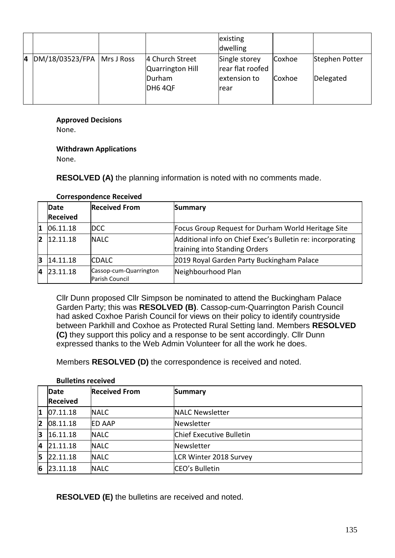|    |                                |                                     | existing<br>dwelling              |        |                |
|----|--------------------------------|-------------------------------------|-----------------------------------|--------|----------------|
| 14 | $ DM/18/03523/FPA $ Mrs J Ross | 4 Church Street<br>Quarrington Hill | Single storey<br>rear flat roofed | Coxhoe | Stephen Potter |
|    |                                | Durham<br>DH6 4QF                   | extension to<br><b>rear</b>       | Coxhoe | Delegated      |

#### **Approved Decisions**

None.

#### **Withdrawn Applications**

None.

#### **RESOLVED (A)** the planning information is noted with no comments made.

|    | Date<br><b>Received</b> | <b>Received From</b>                     | Summary                                                                                     |
|----|-------------------------|------------------------------------------|---------------------------------------------------------------------------------------------|
|    |                         |                                          |                                                                                             |
| 1  | 06.11.18                | DCC.                                     | Focus Group Request for Durham World Heritage Site                                          |
| 12 | 12.11.18                | <b>NALC</b>                              | Additional info on Chief Exec's Bulletin re: incorporating<br>training into Standing Orders |
| 13 | 14.11.18                | <b>CDALC</b>                             | 2019 Royal Garden Party Buckingham Palace                                                   |
| 14 | 23.11.18                | Cassop-cum-Quarrington<br>Parish Council | Neighbourhood Plan                                                                          |

#### **Correspondence Received**

Cllr Dunn proposed Cllr Simpson be nominated to attend the Buckingham Palace Garden Party; this was **RESOLVED (B)**. Cassop-cum-Quarrington Parish Council had asked Coxhoe Parish Council for views on their policy to identify countryside between Parkhill and Coxhoe as Protected Rural Setting land. Members **RESOLVED (C)** they support this policy and a response to be sent accordingly. Cllr Dunn expressed thanks to the Web Admin Volunteer for all the work he does.

Members **RESOLVED (D)** the correspondence is received and noted.

|    | Date<br><b>Received</b> | <b>Received From</b> | <b>Summary</b>                |
|----|-------------------------|----------------------|-------------------------------|
| 1  | 07.11.18                | <b>NALC</b>          | <b>NALC Newsletter</b>        |
| 12 | 08.11.18                | <b>IED AAP</b>       | Newsletter                    |
| 3  | 16.11.18                | <b>NALC</b>          | Chief Executive Bulletin      |
| 4  | 21.11.18                | <b>NALC</b>          | Newsletter                    |
| 15 | 22.11.18                | <b>NALC</b>          | <b>LCR Winter 2018 Survey</b> |
| 6  | 23.11.18                | <b>NALC</b>          | CEO's Bulletin                |

#### **Bulletins received**

**RESOLVED (E)** the bulletins are received and noted.